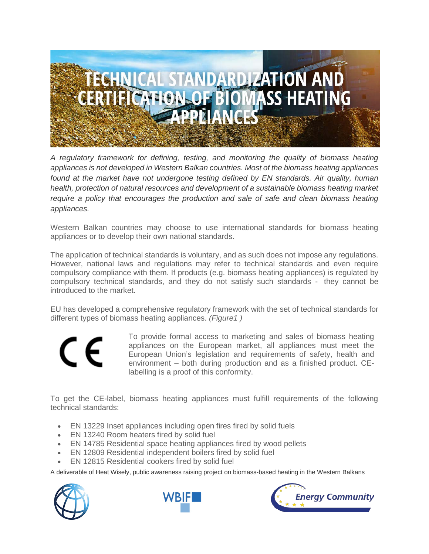

*A regulatory framework for defining, testing, and monitoring the quality of biomass heating appliances is not developed in Western Balkan countries. Most of the biomass heating appliances*  found at the market have not undergone testing defined by EN standards. Air quality, human *health, protection of natural resources and development of a sustainable biomass heating market require a policy that encourages the production and sale of safe and clean biomass heating appliances.*

Western Balkan countries may choose to use international standards for biomass heating appliances or to develop their own national standards.

The application of technical standards is voluntary, and as such does not impose any regulations. However, national laws and regulations may refer to technical standards and even require compulsory compliance with them. If products (e.g. biomass heating appliances) is regulated by compulsory technical standards, and they do not satisfy such standards - they cannot be introduced to the market.

EU has developed a comprehensive regulatory framework with the set of technical standards for different types of biomass heating appliances. *(Figure1 )*



To provide formal access to marketing and sales of biomass heating appliances on the European market, all appliances must meet the European Union's legislation and requirements of safety, health and environment – both during production and as a finished product. CElabelling is a proof of this conformity.

To get the CE-label, biomass heating appliances must fulfill requirements of the following technical standards:

- EN 13229 Inset appliances including open fires fired by solid fuels
- EN 13240 Room heaters fired by solid fuel
- EN 14785 Residential space heating appliances fired by wood pellets
- EN 12809 Residential independent boilers fired by solid fuel
- EN 12815 Residential cookers fired by solid fuel

A deliverable of Heat Wisely, public awareness raising project on biomass-based heating in the Western Balkans





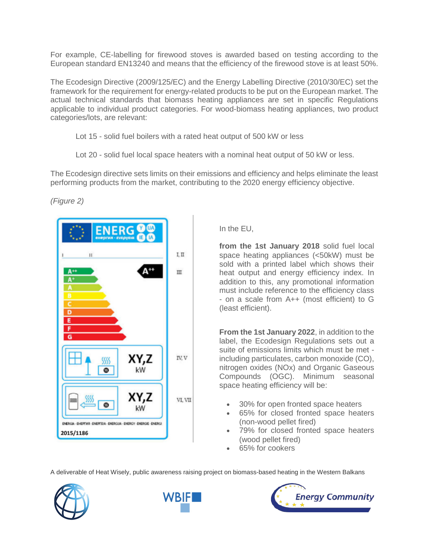For example, CE-labelling for firewood stoves is awarded based on testing according to the European standard EN13240 and means that the efficiency of the firewood stove is at least 50%.

The Ecodesign Directive (2009/125/EC) and the Energy Labelling Directive (2010/30/EC) set the framework for the requirement for energy-related products to be put on the European market. The actual technical standards that biomass heating appliances are set in specific Regulations applicable to individual product categories. For wood-biomass heating appliances, two product categories/lots, are relevant:

- Lot 15 solid fuel boilers with a rated heat output of 500 kW or less
- Lot 20 solid fuel local space heaters with a nominal heat output of 50 kW or less.

The Ecodesign directive sets limits on their emissions and efficiency and helps eliminate the least performing products from the market, contributing to the 2020 energy efficiency objective.

*(Figure 2)*



In the EU,

**from the 1st January 2018** solid fuel local space heating appliances (<50kW) must be sold with a printed label which shows their heat output and energy efficiency index. In addition to this, any promotional information must include reference to the efficiency class - on a scale from A++ (most efficient) to G (least efficient).

**From the 1st January 2022**, in addition to the label, the Ecodesign Regulations sets out a suite of emissions limits which must be met including particulates, carbon monoxide (CO), nitrogen oxides (NOx) and Organic Gaseous Compounds (OGC). Minimum seasonal space heating efficiency will be:

- 30% for open fronted space heaters
- 65% for closed fronted space heaters (non-wood pellet fired)
- 79% for closed fronted space heaters (wood pellet fired)
- 65% for cookers

A deliverable of Heat Wisely, public awareness raising project on biomass-based heating in the Western Balkans